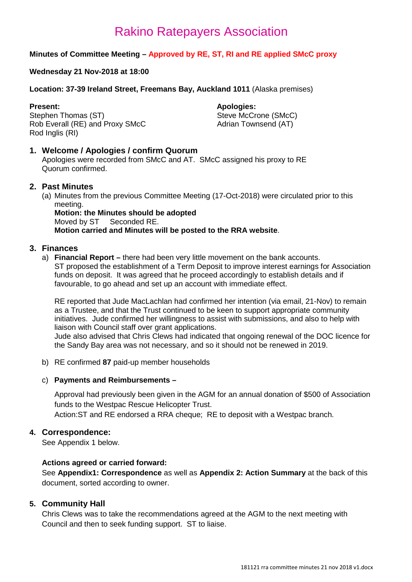### **Minutes of Committee Meeting – Approved by RE, ST, RI and RE applied SMcC proxy**

### **Wednesday 21 Nov-2018 at 18:00**

### **Location: 37-39 Ireland Street, Freemans Bay, Auckland 1011** (Alaska premises)

**Present: Apologies: Apologies: Apologies: Apologies: Apologies: Apologies: Apologies: Apologies: Apologies: Apologies: Apologies: Apologies: Apologies: Apologies: Apologies: Apologies: Ap** Rob Everall (RE) and Proxy SMcC Rod Inglis (RI)

Steve McCrone (SMcC)<br>Adrian Townsend (AT)

### **1. Welcome / Apologies / confirm Quorum**

Apologies were recorded from SMcC and AT. SMcC assigned his proxy to RE Quorum confirmed.

### **2. Past Minutes**

(a) Minutes from the previous Committee Meeting (17-Oct-2018) were circulated prior to this meeting.

**Motion: the Minutes should be adopted** Moved by ST Seconded RE. **Motion carried and Minutes will be posted to the RRA website**.

### **3. Finances**

a) **Financial Report –** there had been very little movement on the bank accounts. ST proposed the establishment of a Term Deposit to improve interest earnings for Association funds on deposit. It was agreed that he proceed accordingly to establish details and if favourable, to go ahead and set up an account with immediate effect.

RE reported that Jude MacLachlan had confirmed her intention (via email, 21-Nov) to remain as a Trustee, and that the Trust continued to be keen to support appropriate community initiatives. Jude confirmed her willingness to assist with submissions, and also to help with liaison with Council staff over grant applications.

Jude also advised that Chris Clews had indicated that ongoing renewal of the DOC licence for the Sandy Bay area was not necessary, and so it should not be renewed in 2019.

b) RE confirmed **87** paid-up member households

### c) **Payments and Reimbursements –**

Approval had previously been given in the AGM for an annual donation of \$500 of Association funds to the Westpac Rescue Helicopter Trust. Action:ST and RE endorsed a RRA cheque; RE to deposit with a Westpac branch.

### **4. Correspondence:**

See Appendix 1 below.

### **Actions agreed or carried forward:**

See **Appendix1: Correspondence** as well as **Appendix 2: Action Summary** at the back of this document, sorted according to owner.

### **5. Community Hall**

Chris Clews was to take the recommendations agreed at the AGM to the next meeting with Council and then to seek funding support. ST to liaise.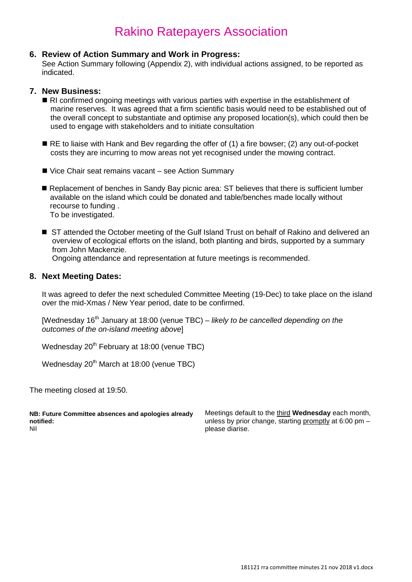### **6. Review of Action Summary and Work in Progress:**

See Action Summary following (Appendix 2), with individual actions assigned, to be reported as indicated.

### **7. New Business:**

- RI confirmed ongoing meetings with various parties with expertise in the establishment of marine reserves. It was agreed that a firm scientific basis would need to be established out of the overall concept to substantiate and optimise any proposed location(s), which could then be used to engage with stakeholders and to initiate consultation
- RE to liaise with Hank and Bev regarding the offer of (1) a fire bowser; (2) any out-of-pocket costs they are incurring to mow areas not yet recognised under the mowing contract.
- Vice Chair seat remains vacant see Action Summary
- Replacement of benches in Sandy Bay picnic area: ST believes that there is sufficient lumber available on the island which could be donated and table/benches made locally without recourse to funding . To be investigated.
- ST attended the October meeting of the Gulf Island Trust on behalf of Rakino and delivered an overview of ecological efforts on the island, both planting and birds, supported by a summary from John Mackenzie. Ongoing attendance and representation at future meetings is recommended.

### **8. Next Meeting Dates:**

It was agreed to defer the next scheduled Committee Meeting (19-Dec) to take place on the island over the mid-Xmas / New Year period, date to be confirmed.

[Wednesday 16<sup>th</sup> January at 18:00 (venue TBC) – *likely to be cancelled depending on the outcomes of the on-island meeting above*]

Wednesday  $20<sup>th</sup>$  February at 18:00 (venue TBC)

Wednesday 20<sup>th</sup> March at 18:00 (venue TBC)

The meeting closed at 19:50.

**NB: Future Committee absences and apologies already notified:** Nil

Meetings default to the third **Wednesday** each month, unless by prior change, starting promptly at 6:00 pm – please diarise.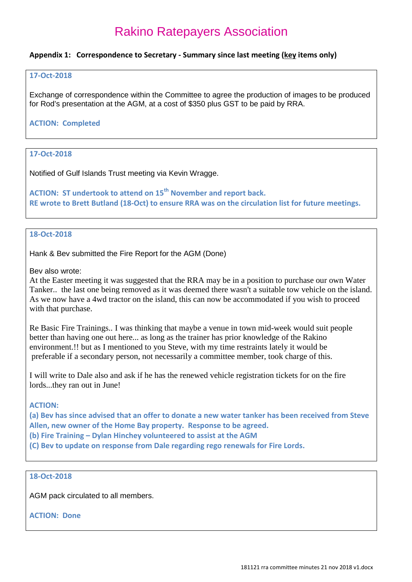### **Appendix 1: Correspondence to Secretary - Summary since last meeting (key items only)**

#### **17-Oct-2018**

Exchange of correspondence within the Committee to agree the production of images to be produced for Rod's presentation at the AGM, at a cost of \$350 plus GST to be paid by RRA.

### **ACTION: Completed**

### **17-Oct-2018**

Notified of Gulf Islands Trust meeting via Kevin Wragge.

**ACTION: ST undertook to attend on 15th November and report back. RE wrote to Brett Butland (18-Oct) to ensure RRA was on the circulation list for future meetings.** 

### **18-Oct-2018**

Hank & Bev submitted the Fire Report for the AGM (Done)

Bev also wrote:

At the Easter meeting it was suggested that the RRA may be in a position to purchase our own Water Tanker.. the last one being removed as it was deemed there wasn't a suitable tow vehicle on the island. As we now have a 4wd tractor on the island, this can now be accommodated if you wish to proceed with that purchase.

Re Basic Fire Trainings.. I was thinking that maybe a venue in town mid-week would suit people better than having one out here... as long as the trainer has prior knowledge of the Rakino environment.!! but as I mentioned to you Steve, with my time restraints lately it would be preferable if a secondary person, not necessarily a committee member, took charge of this.

I will write to Dale also and ask if he has the renewed vehicle registration tickets for on the fire lords...they ran out in June!

### **ACTION:**

**(a) Bev has since advised that an offer to donate a new water tanker has been received from Steve Allen, new owner of the Home Bay property. Response to be agreed.**

**(b) Fire Training – Dylan Hinchey volunteered to assist at the AGM**

**(C) Bev to update on response from Dale regarding rego renewals for Fire Lords.**

### **18-Oct-2018**

AGM pack circulated to all members.

**ACTION: Done**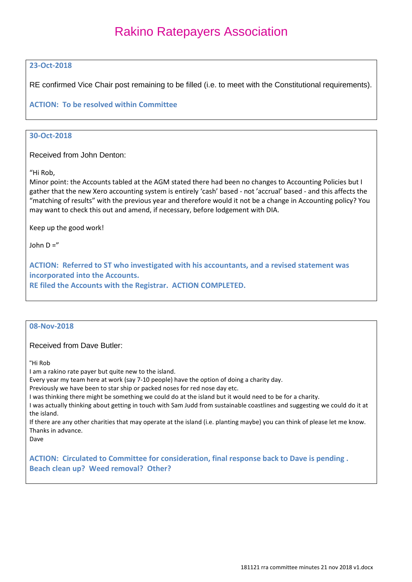### **23-Oct-2018**

RE confirmed Vice Chair post remaining to be filled (i.e. to meet with the Constitutional requirements).

### **ACTION: To be resolved within Committee**

### **30-Oct-2018**

Received from John Denton:

"Hi Rob,

Minor point: the Accounts tabled at the AGM stated there had been no changes to Accounting Policies but I gather that the new Xero accounting system is entirely 'cash' based - not 'accrual' based - and this affects the "matching of results" with the previous year and therefore would it not be a change in Accounting policy? You may want to check this out and amend, if necessary, before lodgement with DIA.

Keep up the good work!

John  $D =$ "

**ACTION: Referred to ST who investigated with his accountants, and a revised statement was incorporated into the Accounts. RE filed the Accounts with the Registrar. ACTION COMPLETED.**

#### **08-Nov-2018**

### Received from Dave Butler:

"Hi Rob

I am a rakino rate payer but quite new to the island.

Every year my team here at work (say 7-10 people) have the option of doing a charity day.

Previously we have been to star ship or packed noses for red nose day etc.

I was thinking there might be something we could do at the island but it would need to be for a charity.

I was actually thinking about getting in touch with Sam Judd from sustainable coastlines and suggesting we could do it at the island.

If there are any other charities that may operate at the island (i.e. planting maybe) you can think of please let me know. Thanks in advance.

Dave

**ACTION: Circulated to Committee for consideration, final response back to Dave is pending . Beach clean up? Weed removal? Other?**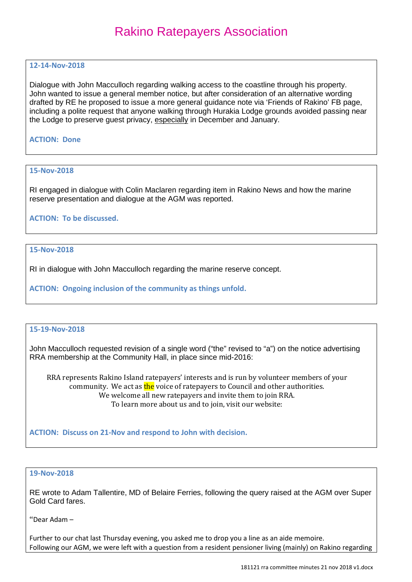### **12-14-Nov-2018**

Dialogue with John Macculloch regarding walking access to the coastline through his property. John wanted to issue a general member notice, but after consideration of an alternative wording drafted by RE he proposed to issue a more general guidance note via 'Friends of Rakino' FB page, including a polite request that anyone walking through Hurakia Lodge grounds avoided passing near the Lodge to preserve guest privacy, especially in December and January.

### **ACTION: Done**

#### **15-Nov-2018**

RI engaged in dialogue with Colin Maclaren regarding item in Rakino News and how the marine reserve presentation and dialogue at the AGM was reported.

### **ACTION: To be discussed.**

### **15-Nov-2018**

RI in dialogue with John Macculloch regarding the marine reserve concept.

### **ACTION: Ongoing inclusion of the community as things unfold.**

### **15-19-Nov-2018**

John Macculloch requested revision of a single word ("the" revised to "a") on the notice advertising RRA membership at the Community Hall, in place since mid-2016:

RRA represents Rakino Island ratepayers' interests and is run by volunteer members of your community. We act as the voice of ratepayers to Council and other authorities. We welcome all new ratepayers and invite them to join RRA. To learn more about us and to join, visit our website:

**ACTION: Discuss on 21-Nov and respond to John with decision.** 

#### **19-Nov-2018**

RE wrote to Adam Tallentire, MD of Belaire Ferries, following the query raised at the AGM over Super Gold Card fares.

"Dear Adam –

Further to our chat last Thursday evening, you asked me to drop you a line as an aide memoire. Following our AGM, we were left with a question from a resident pensioner living (mainly) on Rakino regarding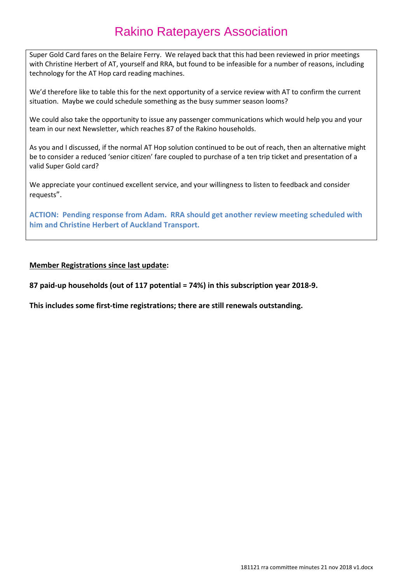Super Gold Card fares on the Belaire Ferry. We relayed back that this had been reviewed in prior meetings with Christine Herbert of AT, yourself and RRA, but found to be infeasible for a number of reasons, including technology for the AT Hop card reading machines.

We'd therefore like to table this for the next opportunity of a service review with AT to confirm the current situation. Maybe we could schedule something as the busy summer season looms?

We could also take the opportunity to issue any passenger communications which would help you and your team in our next Newsletter, which reaches 87 of the Rakino households.

As you and I discussed, if the normal AT Hop solution continued to be out of reach, then an alternative might be to consider a reduced 'senior citizen' fare coupled to purchase of a ten trip ticket and presentation of a valid Super Gold card?

We appreciate your continued excellent service, and your willingness to listen to feedback and consider requests".

**ACTION: Pending response from Adam. RRA should get another review meeting scheduled with him and Christine Herbert of Auckland Transport.** 

### **Member Registrations since last update:**

**87 paid-up households (out of 117 potential = 74%) in this subscription year 2018-9.**

**This includes some first-time registrations; there are still renewals outstanding.**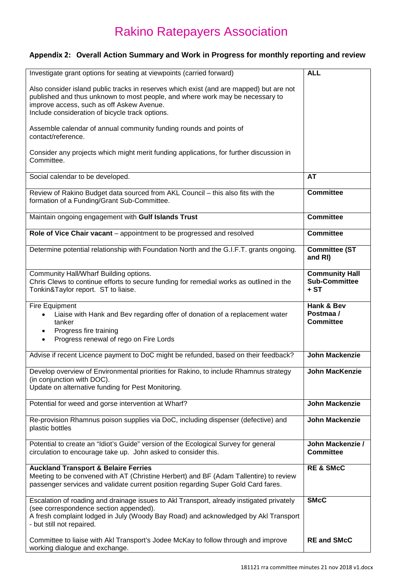### **Appendix 2: Overall Action Summary and Work in Progress for monthly reporting and review**

| Investigate grant options for seating at viewpoints (carried forward)                                                                                                                                                                                                    | <b>ALL</b>                                            |
|--------------------------------------------------------------------------------------------------------------------------------------------------------------------------------------------------------------------------------------------------------------------------|-------------------------------------------------------|
| Also consider island public tracks in reserves which exist (and are mapped) but are not<br>published and thus unknown to most people, and where work may be necessary to<br>improve access, such as off Askew Avenue.<br>Include consideration of bicycle track options. |                                                       |
| Assemble calendar of annual community funding rounds and points of<br>contact/reference.                                                                                                                                                                                 |                                                       |
| Consider any projects which might merit funding applications, for further discussion in<br>Committee.                                                                                                                                                                    |                                                       |
| Social calendar to be developed.                                                                                                                                                                                                                                         | <b>AT</b>                                             |
| Review of Rakino Budget data sourced from AKL Council - this also fits with the<br>formation of a Funding/Grant Sub-Committee.                                                                                                                                           | <b>Committee</b>                                      |
| Maintain ongoing engagement with Gulf Islands Trust                                                                                                                                                                                                                      | <b>Committee</b>                                      |
| Role of Vice Chair vacant - appointment to be progressed and resolved                                                                                                                                                                                                    | <b>Committee</b>                                      |
| Determine potential relationship with Foundation North and the G.I.F.T. grants ongoing.                                                                                                                                                                                  | Committee (ST<br>and RI)                              |
| Community Hall/Wharf Building options.<br>Chris Clews to continue efforts to secure funding for remedial works as outlined in the<br>Tonkin&Taylor report. ST to liaise.                                                                                                 | <b>Community Hall</b><br><b>Sub-Committee</b><br>+ ST |
| Fire Equipment<br>Liaise with Hank and Bev regarding offer of donation of a replacement water<br>tanker<br>Progress fire training<br>Progress renewal of rego on Fire Lords<br>$\bullet$                                                                                 | Hank & Bev<br>Postmaa /<br><b>Committee</b>           |
|                                                                                                                                                                                                                                                                          | <b>John Mackenzie</b>                                 |
| Advise if recent Licence payment to DoC might be refunded, based on their feedback?                                                                                                                                                                                      |                                                       |
| Develop overview of Environmental priorities for Rakino, to include Rhamnus strategy<br>(in conjunction with DOC).<br>Update on alternative funding for Pest Monitoring.                                                                                                 | <b>John MacKenzie</b>                                 |
| Potential for weed and gorse intervention at Wharf?                                                                                                                                                                                                                      | <b>John Mackenzie</b>                                 |
| Re-provision Rhamnus poison supplies via DoC, including dispenser (defective) and<br>plastic bottles                                                                                                                                                                     | John Mackenzie                                        |
| Potential to create an "Idiot's Guide" version of the Ecological Survey for general<br>circulation to encourage take up. John asked to consider this.                                                                                                                    | John Mackenzie /<br><b>Committee</b>                  |
| <b>Auckland Transport &amp; Belaire Ferries</b><br>Meeting to be convened with AT (Christine Herbert) and BF (Adam Tallentire) to review<br>passenger services and validate current position regarding Super Gold Card fares.                                            | <b>RE &amp; SMcC</b>                                  |
| Escalation of roading and drainage issues to Akl Transport, already instigated privately<br>(see correspondence section appended).<br>A fresh complaint lodged in July (Woody Bay Road) and acknowledged by Akl Transport<br>- but still not repaired.                   | <b>SMcC</b>                                           |
| Committee to liaise with Akl Transport's Jodee McKay to follow through and improve<br>working dialogue and exchange.                                                                                                                                                     | <b>RE and SMcC</b>                                    |